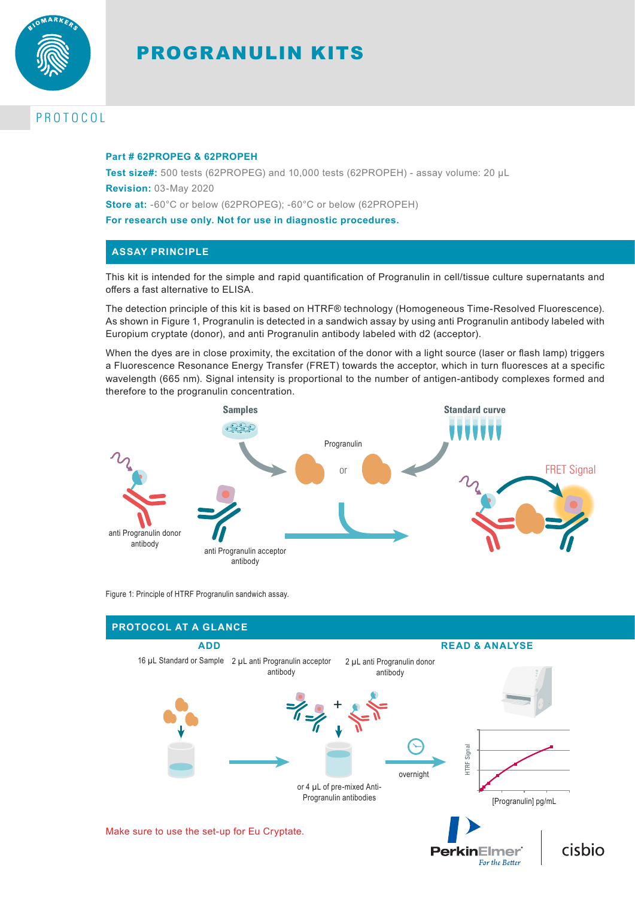

# PROGRANULIN KITS

# PROTOCOL

#### **Part # 62PROPEG & 62PROPEH**

**Test size#:** 500 tests (62PROPEG) and 10,000 tests (62PROPEH) - assay volume: 20 µL **Revision:** 03-May 2020 **Store at:** -60°C or below (62PROPEG); -60°C or below (62PROPEH) **For research use only. Not for use in diagnostic procedures.**

# **ASSAY PRINCIPLE**

This kit is intended for the simple and rapid quantification of Progranulin in cell/tissue culture supernatants and offers a fast alternative to ELISA.

The detection principle of this kit is based on HTRF® technology (Homogeneous Time-Resolved Fluorescence). As shown in Figure 1, Progranulin is detected in a sandwich assay by using anti Progranulin antibody labeled with Europium cryptate (donor), and anti Progranulin antibody labeled with d2 (acceptor).

When the dyes are in close proximity, the excitation of the donor with a light source (laser or flash lamp) triggers a Fluorescence Resonance Energy Transfer (FRET) towards the acceptor, which in turn fluoresces at a specific wavelength (665 nm). Signal intensity is proportional to the number of antigen-antibody complexes formed and therefore to the progranulin concentration.



Figure 1: Principle of HTRF Progranulin sandwich assay.

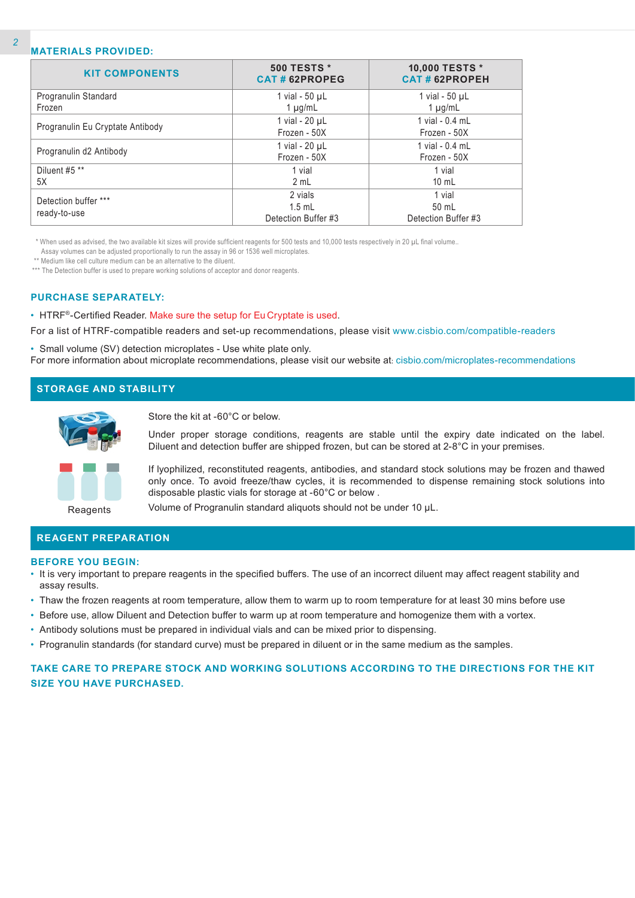### **MATERIALS PROVIDED:**

| <b>KIT COMPONENTS</b>            | <b>500 TESTS *</b><br>CAT#62PROPEG | 10,000 TESTS *<br><b>CAT#62PROPEH</b> |
|----------------------------------|------------------------------------|---------------------------------------|
| Progranulin Standard             | 1 vial - $50 \mu L$                | 1 vial - $50 \mu L$                   |
| Frozen                           | $1 \mu g/mL$                       | $1 \mu g/mL$                          |
|                                  | 1 vial - $20 \mu L$                | 1 vial - 0.4 mL                       |
| Progranulin Eu Cryptate Antibody | Frozen - 50X                       | Frozen - 50X                          |
|                                  | 1 vial - 20 µL                     | 1 vial - 0.4 mL                       |
| Progranulin d2 Antibody          | Frozen - 50X                       | Frozen - 50X                          |
| Diluent #5 **                    | 1 vial                             | 1 vial                                |
| 5X                               | 2 mL                               | $10 \text{ mL}$                       |
| Detection buffer ***             | 2 vials                            | 1 vial                                |
|                                  | $1.5$ mL                           | 50 mL                                 |
| ready-to-use                     | Detection Buffer #3                | Detection Buffer #3                   |

\* When used as advised, the two available kit sizes will provide sufficient reagents for 500 tests and 10,000 tests respectively in 20 µL final volume..

Assay volumes can be adjusted proportionally to run the assay in 96 or 1536 well microplates.

\*\* Medium like cell culture medium can be an alternative to the diluent.

\*\*\* The Detection buffer is used to prepare working solutions of acceptor and donor reagents.

#### **PURCHASE SEPARATELY:**

• HTRF®-Certified Reader. Make sure the setup for Eu Cryptate is used.

For a list of HTRF-compatible readers and set-up recommendations, please visit www.cisbio.com/compatible-readers

• Small volume (SV) detection microplates - Use white plate only. For more information about microplate recommendations, please visit our website at: cisbio.com/microplates-recommendations

# **STORAGE AND STABILITY**



Store the kit at -60°C or below.

Under proper storage conditions, reagents are stable until the expiry date indicated on the label. Diluent and detection buffer are shipped frozen, but can be stored at 2-8°C in your premises.

If lyophilized, reconstituted reagents, antibodies, and standard stock solutions may be frozen and thawed only once. To avoid freeze/thaw cycles, it is recommended to dispense remaining stock solutions into disposable plastic vials for storage at -60°C or below .

Reagents

Volume of Progranulin standard aliquots should not be under 10 µL.

# **REAGENT PREPARATION**

#### **BEFORE YOU BEGIN:**

- It is very important to prepare reagents in the specified buffers. The use of an incorrect diluent may affect reagent stability and assay results.
- Thaw the frozen reagents at room temperature, allow them to warm up to room temperature for at least 30 mins before use
- Before use, allow Diluent and Detection buffer to warm up at room temperature and homogenize them with a vortex.
- Antibody solutions must be prepared in individual vials and can be mixed prior to dispensing.
- Progranulin standards (for standard curve) must be prepared in diluent or in the same medium as the samples.

# **TAKE CARE TO PREPARE STOCK AND WORKING SOLUTIONS ACCORDING TO THE DIRECTIONS FOR THE KIT SIZE YOU HAVE PURCHASED.**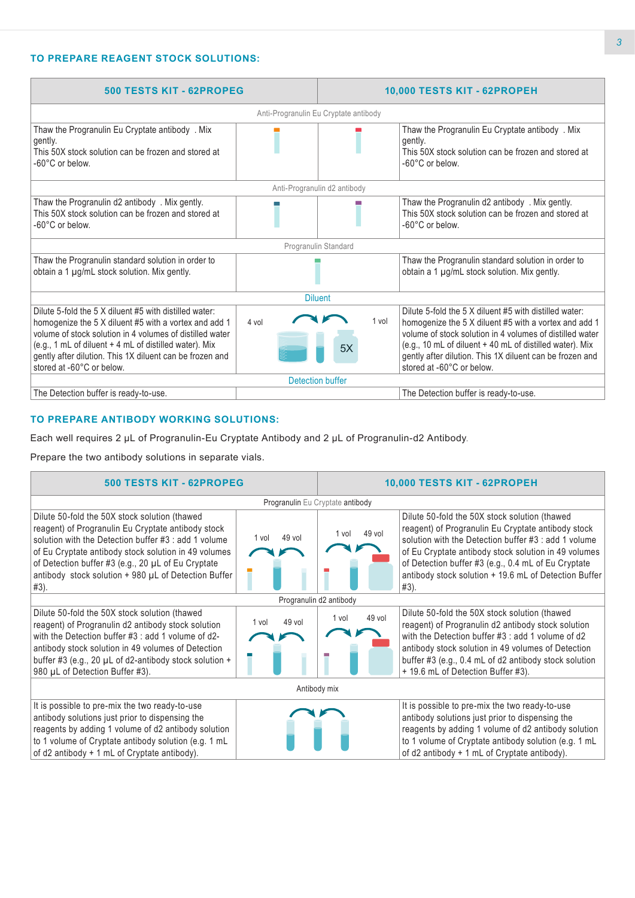# **TO PREPARE REAGENT STOCK SOLUTIONS:**

| 500 TESTS KIT - 62PROPEG                                                                                                                                                                                                                                                                                                       |                                       |             | 10,000 TESTS KIT - 62PROPEH                                                                                                                                                                                                                                                                                                      |
|--------------------------------------------------------------------------------------------------------------------------------------------------------------------------------------------------------------------------------------------------------------------------------------------------------------------------------|---------------------------------------|-------------|----------------------------------------------------------------------------------------------------------------------------------------------------------------------------------------------------------------------------------------------------------------------------------------------------------------------------------|
|                                                                                                                                                                                                                                                                                                                                | Anti-Progranulin Eu Cryptate antibody |             |                                                                                                                                                                                                                                                                                                                                  |
| Thaw the Progranulin Eu Cryptate antibody . Mix<br>gently.<br>This 50X stock solution can be frozen and stored at<br>-60°C or below.                                                                                                                                                                                           |                                       |             | Thaw the Progranulin Eu Cryptate antibody . Mix<br>gently.<br>This 50X stock solution can be frozen and stored at<br>-60°C or below.                                                                                                                                                                                             |
|                                                                                                                                                                                                                                                                                                                                | Anti-Progranulin d2 antibody          |             |                                                                                                                                                                                                                                                                                                                                  |
| Thaw the Progranulin d2 antibody. Mix gently.<br>This 50X stock solution can be frozen and stored at<br>-60°C or below.                                                                                                                                                                                                        |                                       |             | Thaw the Progranulin d2 antibody . Mix gently.<br>This 50X stock solution can be frozen and stored at<br>-60°C or below.                                                                                                                                                                                                         |
|                                                                                                                                                                                                                                                                                                                                | Progranulin Standard                  |             |                                                                                                                                                                                                                                                                                                                                  |
| Thaw the Progranulin standard solution in order to<br>obtain a 1 µg/mL stock solution. Mix gently.                                                                                                                                                                                                                             |                                       |             | Thaw the Progranulin standard solution in order to<br>obtain a 1 µg/mL stock solution. Mix gently.                                                                                                                                                                                                                               |
|                                                                                                                                                                                                                                                                                                                                | <b>Diluent</b>                        |             |                                                                                                                                                                                                                                                                                                                                  |
| Dilute 5-fold the 5 X diluent #5 with distilled water:<br>homogenize the 5 X diluent #5 with a vortex and add 1<br>volume of stock solution in 4 volumes of distilled water<br>(e.g., 1 mL of diluent + 4 mL of distilled water). Mix<br>gently after dilution. This 1X diluent can be frozen and<br>stored at -60°C or below. | 4 vol                                 | 1 vol<br>5X | Dilute 5-fold the 5 X diluent #5 with distilled water:<br>homogenize the 5 X diluent #5 with a vortex and add 1<br>volume of stock solution in 4 volumes of distilled water<br>(e.g., 10 mL of diluent + 40 mL of distilled water). Mix<br>gently after dilution. This 1X diluent can be frozen and<br>stored at -60°C or below. |
|                                                                                                                                                                                                                                                                                                                                | Detection buffer                      |             |                                                                                                                                                                                                                                                                                                                                  |
| The Detection buffer is ready-to-use.                                                                                                                                                                                                                                                                                          |                                       |             | The Detection buffer is ready-to-use.                                                                                                                                                                                                                                                                                            |

# **TO PREPARE ANTIBODY WORKING SOLUTIONS:**

Each well requires 2 µL of Progranulin-Eu Cryptate Antibody and 2 µL of Progranulin-d2 Antibody.

Prepare the two antibody solutions in separate vials.

| 500 TESTS KIT - 62PROPEG                                                                                                                                                                                                                                                                                                                  |                 | 10,000 TESTS KIT - 62PROPEH      |                                                                                                                                                                                                                                                                                                                                             |  |
|-------------------------------------------------------------------------------------------------------------------------------------------------------------------------------------------------------------------------------------------------------------------------------------------------------------------------------------------|-----------------|----------------------------------|---------------------------------------------------------------------------------------------------------------------------------------------------------------------------------------------------------------------------------------------------------------------------------------------------------------------------------------------|--|
|                                                                                                                                                                                                                                                                                                                                           |                 | Progranulin Eu Cryptate antibody |                                                                                                                                                                                                                                                                                                                                             |  |
| Dilute 50-fold the 50X stock solution (thawed<br>reagent) of Progranulin Eu Cryptate antibody stock<br>solution with the Detection buffer #3 : add 1 volume<br>of Eu Cryptate antibody stock solution in 49 volumes<br>of Detection buffer #3 (e.g., 20 µL of Eu Cryptate<br>antibody stock solution + 980 µL of Detection Buffer<br>#3). | 49 vol<br>1 vol | $49$ vol<br>1 vol                | Dilute 50-fold the 50X stock solution (thawed<br>reagent) of Progranulin Eu Cryptate antibody stock<br>solution with the Detection buffer #3 : add 1 volume<br>of Eu Cryptate antibody stock solution in 49 volumes<br>of Detection buffer #3 (e.g., 0.4 mL of Eu Cryptate<br>antibody stock solution + 19.6 mL of Detection Buffer<br>#3). |  |
|                                                                                                                                                                                                                                                                                                                                           |                 | Progranulin d2 antibody          |                                                                                                                                                                                                                                                                                                                                             |  |
| Dilute 50-fold the 50X stock solution (thawed<br>reagent) of Progranulin d2 antibody stock solution<br>with the Detection buffer #3 : add 1 volume of d2-<br>antibody stock solution in 49 volumes of Detection<br>buffer #3 (e.g., 20 $\mu$ L of d2-antibody stock solution +<br>980 µL of Detection Buffer #3).                         | 49 vol<br>1 vol | 49 vol<br>1 vol                  | Dilute 50-fold the 50X stock solution (thawed<br>reagent) of Progranulin d2 antibody stock solution<br>with the Detection buffer #3 : add 1 volume of d2<br>antibody stock solution in 49 volumes of Detection<br>buffer #3 (e.g., 0.4 mL of d2 antibody stock solution<br>+ 19.6 mL of Detection Buffer #3).                               |  |
|                                                                                                                                                                                                                                                                                                                                           |                 | Antibody mix                     |                                                                                                                                                                                                                                                                                                                                             |  |
| It is possible to pre-mix the two ready-to-use<br>antibody solutions just prior to dispensing the<br>reagents by adding 1 volume of d2 antibody solution<br>to 1 volume of Cryptate antibody solution (e.g. 1 mL<br>of d2 antibody + 1 mL of Cryptate antibody).                                                                          |                 |                                  | It is possible to pre-mix the two ready-to-use<br>antibody solutions just prior to dispensing the<br>reagents by adding 1 volume of d2 antibody solution<br>to 1 volume of Cryptate antibody solution (e.g. 1 mL<br>of d2 antibody + 1 mL of Cryptate antibody).                                                                            |  |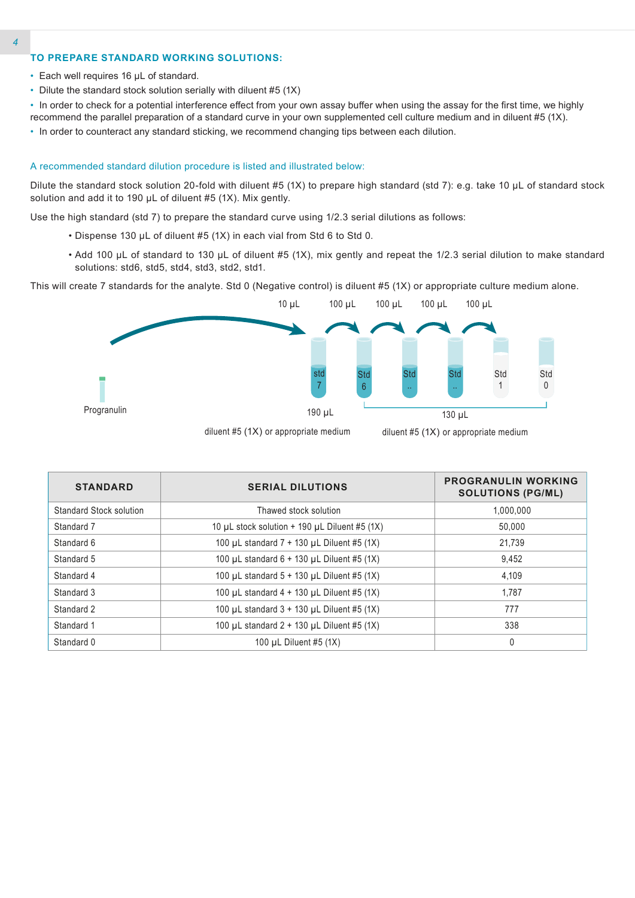## **TO PREPARE STANDARD WORKING SOLUTIONS:**

- Each well requires 16 µL of standard.
- Dilute the standard stock solution serially with diluent #5 (1X)
- In order to check for a potential interference effect from your own assay buffer when using the assay for the first time, we highly recommend the parallel preparation of a standard curve in your own supplemented cell culture medium and in diluent #5 (1X).
- In order to counteract any standard sticking, we recommend changing tips between each dilution.

#### A recommended standard dilution procedure is listed and illustrated below:

Dilute the standard stock solution 20-fold with diluent #5 (1X) to prepare high standard (std 7): e.g. take 10 µL of standard stock solution and add it to 190 µL of diluent #5 (1X). Mix gently.

Use the high standard (std 7) to prepare the standard curve using 1/2.3 serial dilutions as follows:

- Dispense 130 µL of diluent #5 (1X) in each vial from Std 6 to Std 0.
- Add 100 µL of standard to 130 µL of diluent #5 (1X), mix gently and repeat the 1/2.3 serial dilution to make standard solutions: std6, std5, std4, std3, std2, std1.

This will create 7 standards for the analyte. Std 0 (Negative control) is diluent #5 (1X) or appropriate culture medium alone.



| <b>STANDARD</b>         | <b>SERIAL DILUTIONS</b>                              | <b>PROGRANULIN WORKING</b><br><b>SOLUTIONS (PG/ML)</b> |
|-------------------------|------------------------------------------------------|--------------------------------------------------------|
| Standard Stock solution | Thawed stock solution                                | 1.000.000                                              |
| Standard 7              | 10 µL stock solution $+$ 190 µL Diluent #5 (1X)      | 50.000                                                 |
| Standard 6              | 100 $\mu$ L standard 7 + 130 $\mu$ L Diluent #5 (1X) | 21.739                                                 |
| Standard 5              | 100 $\mu$ L standard 6 + 130 $\mu$ L Diluent #5 (1X) | 9,452                                                  |
| Standard 4              | 100 µL standard $5 + 130$ µL Diluent #5 (1X)         | 4.109                                                  |
| Standard 3              | 100 $\mu$ L standard 4 + 130 $\mu$ L Diluent #5 (1X) | 1.787                                                  |
| Standard 2              | 100 $\mu$ L standard 3 + 130 $\mu$ L Diluent #5 (1X) | 777                                                    |
| Standard 1              | 100 µL standard $2 + 130$ µL Diluent #5 (1X)         | 338                                                    |
| Standard 0              | 100 $\mu$ L Diluent #5 (1X)                          | 0                                                      |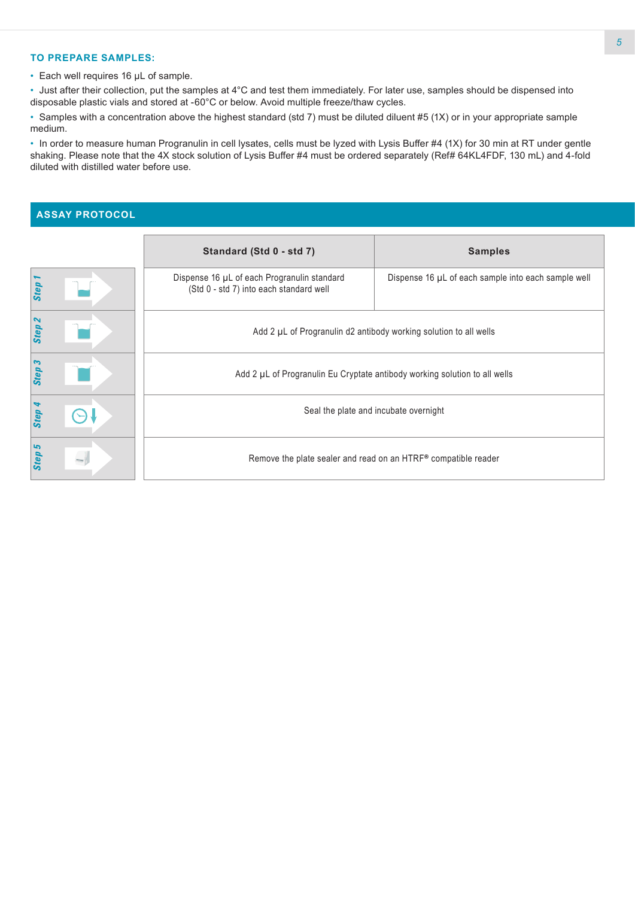# **TO PREPARE SAMPLES:**

• Each well requires 16 µL of sample.

• Just after their collection, put the samples at 4°C and test them immediately. For later use, samples should be dispensed into disposable plastic vials and stored at -60°C or below. Avoid multiple freeze/thaw cycles.

• Samples with a concentration above the highest standard (std 7) must be diluted diluent #5 (1X) or in your appropriate sample medium.

• In order to measure human Progranulin in cell lysates, cells must be lyzed with Lysis Buffer #4 (1X) for 30 min at RT under gentle shaking. Please note that the 4X stock solution of Lysis Buffer #4 must be ordered separately (Ref# 64KL4FDF, 130 mL) and 4-fold diluted with distilled water before use.

### **ASSAY PROTOCOL**

|                                   | Standard (Std 0 - std 7)                                                               | <b>Samples</b>                                                    |  |  |  |  |  |
|-----------------------------------|----------------------------------------------------------------------------------------|-------------------------------------------------------------------|--|--|--|--|--|
| Step                              | Dispense 16 µL of each Progranulin standard<br>(Std 0 - std 7) into each standard well | Dispense 16 µL of each sample into each sample well               |  |  |  |  |  |
| $\boldsymbol{\mathsf{N}}$<br>Step |                                                                                        | Add 2 µL of Progranulin d2 antibody working solution to all wells |  |  |  |  |  |
| Step                              | Add 2 µL of Progranulin Eu Cryptate antibody working solution to all wells             |                                                                   |  |  |  |  |  |
| Step                              |                                                                                        | Seal the plate and incubate overnight                             |  |  |  |  |  |
| ما<br>Step                        |                                                                                        | Remove the plate sealer and read on an HTRF® compatible reader    |  |  |  |  |  |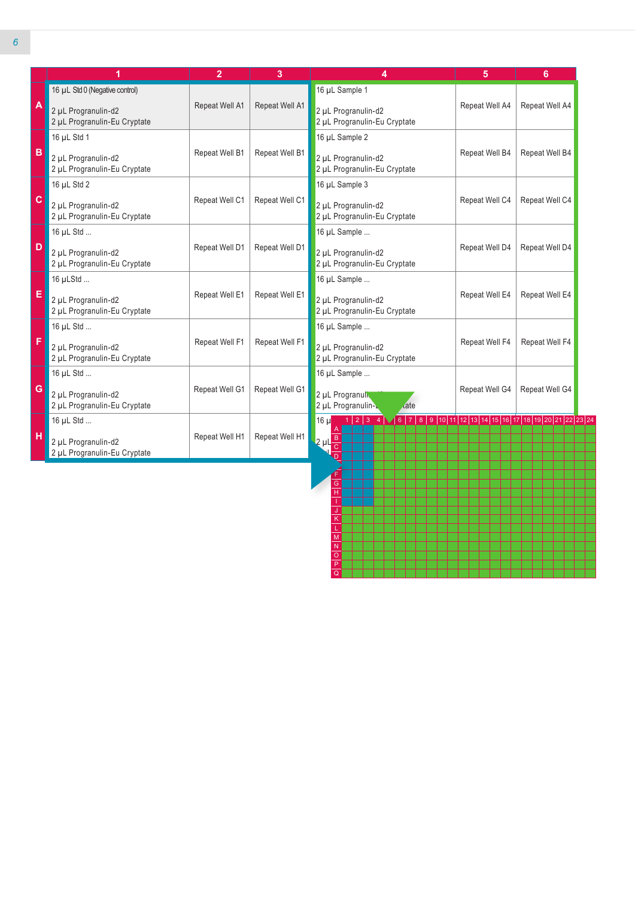|              | 1                                                   | $\overline{2}$ | 3              | 4                                                                                                                               | 5              | 6              |
|--------------|-----------------------------------------------------|----------------|----------------|---------------------------------------------------------------------------------------------------------------------------------|----------------|----------------|
|              | 16 µL Std 0 (Negative control)                      |                |                | 16 µL Sample 1                                                                                                                  |                |                |
| A            | 2 µL Progranulin-d2<br>2 µL Progranulin-Eu Cryptate | Repeat Well A1 | Repeat Well A1 | 2 µL Progranulin-d2<br>2 µL Progranulin-Eu Cryptate                                                                             | Repeat Well A4 | Repeat Well A4 |
|              | 16 µL Std 1                                         |                |                | 16 µL Sample 2                                                                                                                  |                |                |
| B            | 2 µL Progranulin-d2<br>2 µL Progranulin-Eu Cryptate | Repeat Well B1 | Repeat Well B1 | 2 µL Progranulin-d2<br>2 µL Progranulin-Eu Cryptate                                                                             | Repeat Well B4 | Repeat Well B4 |
|              | 16 µL Std 2                                         |                |                | 16 µL Sample 3                                                                                                                  |                |                |
| $\mathbf{C}$ | 2 µL Progranulin-d2<br>2 µL Progranulin-Eu Cryptate | Repeat Well C1 | Repeat Well C1 | 2 µL Progranulin-d2<br>2 µL Progranulin-Eu Cryptate                                                                             | Repeat Well C4 | Repeat Well C4 |
|              | 16 µL Std                                           |                |                | 16 µL Sample                                                                                                                    |                |                |
| D            | 2 µL Progranulin-d2<br>2 µL Progranulin-Eu Cryptate | Repeat Well D1 | Repeat Well D1 | 2 µL Progranulin-d2<br>2 µL Progranulin-Eu Cryptate                                                                             | Repeat Well D4 | Repeat Well D4 |
|              | 16 µLStd                                            |                |                | 16 µL Sample                                                                                                                    |                |                |
| E            | 2 µL Progranulin-d2<br>2 µL Progranulin-Eu Cryptate | Repeat Well E1 | Repeat Well E1 | 2 µL Progranulin-d2<br>2 µL Progranulin-Eu Cryptate                                                                             | Repeat Well E4 | Repeat Well E4 |
|              | 16 µL Std                                           |                |                | 16 µL Sample                                                                                                                    |                |                |
| F            | 2 µL Progranulin-d2<br>2 µL Progranulin-Eu Cryptate | Repeat Well F1 | Repeat Well F1 | 2 µL Progranulin-d2<br>2 µL Progranulin-Eu Cryptate                                                                             | Repeat Well F4 | Repeat Well F4 |
|              | 16 µL Std                                           |                |                | 16 µL Sample                                                                                                                    |                |                |
| G            | 2 µL Progranulin-d2<br>2 µL Progranulin-Eu Cryptate | Repeat Well G1 | Repeat Well G1 | 2 µL Progranul<br>2 µL Progranulin-L<br>date                                                                                    | Repeat Well G4 | Repeat Well G4 |
|              | 16 µL Std                                           |                |                | 1   2   3   4   $\sqrt{6}$   7   8   9   10   11   12   13   14   15   16   17   18   19   20   21   22   23   24<br>16 µ<br>A. |                |                |
| H            | 2 µL Progranulin-d2<br>2 µL Progranulin-Eu Cryptate | Repeat Well H1 | Repeat Well H1 | $2 \mu L \frac{B}{C}$<br>$\overline{\overline{\mathsf{D}}}$                                                                     |                |                |

G H I J K L M N O P Q